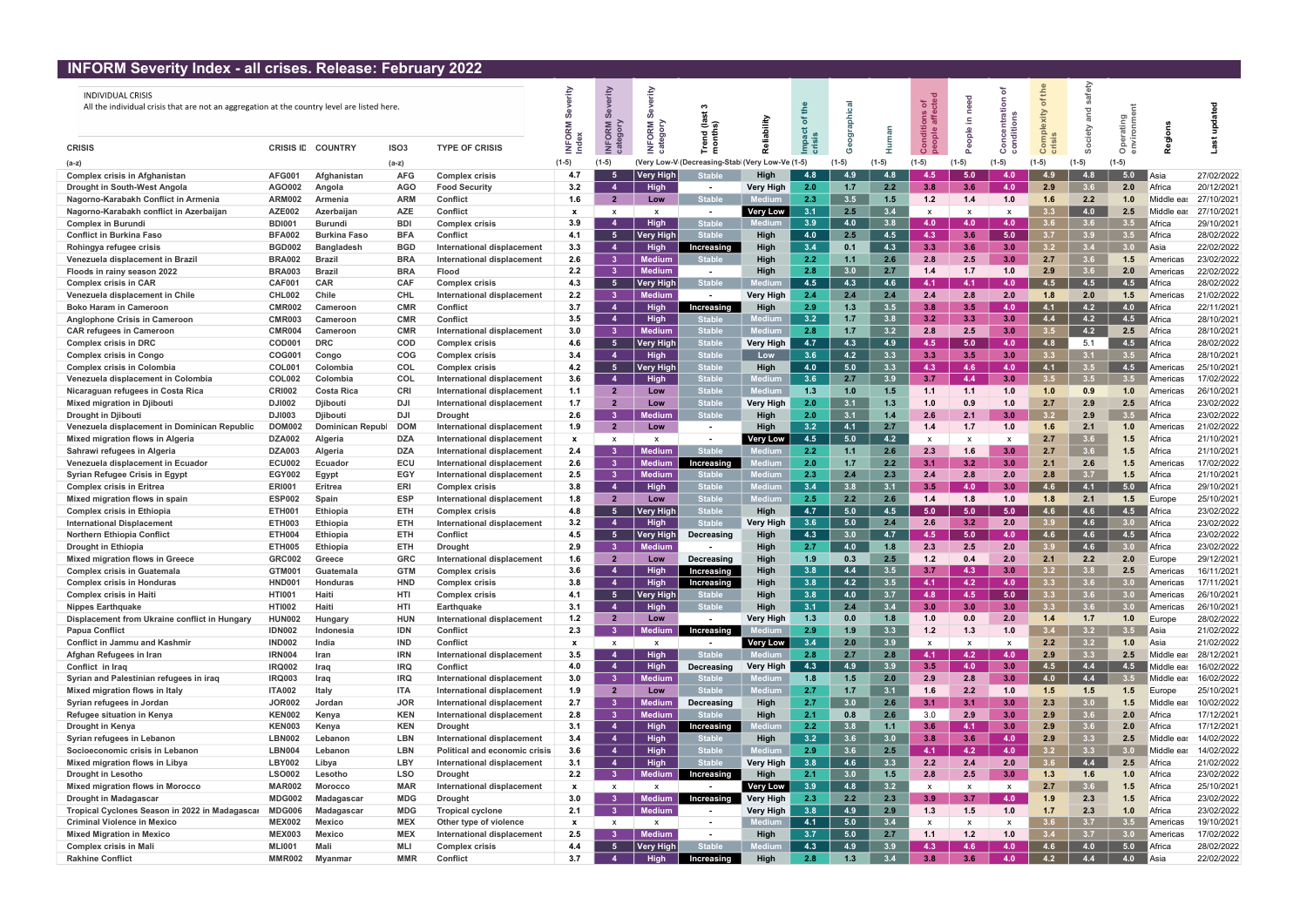## INFORM Severity Index - all crises. Release: February 2022

| <u> INFORM JEVENIY INGEX - AN CHSES. REIEASE. FEDIUALY ZUZZ</u>                                                         |                  |                     |                  |                               |                           |                                   |                        |                               |                  |     |               |                  |                           |                                   |          |                  |               |                  |            |            |
|-------------------------------------------------------------------------------------------------------------------------|------------------|---------------------|------------------|-------------------------------|---------------------------|-----------------------------------|------------------------|-------------------------------|------------------|-----|---------------|------------------|---------------------------|-----------------------------------|----------|------------------|---------------|------------------|------------|------------|
| <b>INDIVIDUAL CRISIS</b><br>All the individual crisis that are not an aggregation at the country level are listed here. |                  |                     |                  |                               | €<br>Σ                    | €<br>$\boldsymbol{q}$<br>ORM<br>ត | ŕίt<br>ഗ<br><b>ORM</b> | = ೯<br>곧 혼                    |                  |     |               |                  | ិ ៖<br>ë e<br>ole         | <b>e</b><br>드<br>$\frac{e}{\rho}$ | g ∺<br>g | ÷                | ≥             | , p              | 흥          | å          |
| <b>CRISIS</b>                                                                                                           | <b>CRISIS ID</b> | <b>COUNTRY</b>      | ISO <sub>3</sub> | <b>TYPE OF CRISIS</b>         |                           |                                   |                        |                               |                  |     |               |                  |                           |                                   |          |                  |               | $\circ$          |            |            |
| $(a-z)$                                                                                                                 |                  |                     | (a-z)            |                               | $(1-5)$                   | $(1-5)$                           |                        | (Very Low-V (Decreasing-Stabl | ery Low-Ve (1-5) |     |               |                  | $(1-5)$                   |                                   | $(1-5)$  | (1-5)            |               | $(1-5)$          |            |            |
| <b>Complex crisis in Afghanistan</b>                                                                                    | <b>AFG001</b>    | Afghanistan         | <b>AFG</b>       | Complex crisis                | 4.7                       | -5                                | <b>Very High</b>       | <b>Stable</b>                 | High             | 4.8 | 4.9           | 4.8              | 4.5                       | 5.0                               | 4.0      |                  | 4.8           | 5.0              | ∥Asia      | 27/02/2022 |
| Drought in South-West Angola                                                                                            | AGO002           | Angola              | <b>AGO</b>       | <b>Food Security</b>          | 3.2                       | $\overline{4}$                    | High                   |                               | <b>Very High</b> | 2.0 | 1.7           | 2.2              | 3.8                       | 3.6                               | 4.0      | 2.9              | 3.6           | 2.0              | Africa     | 20/12/2021 |
| Nagorno-Karabakh Conflict in Armenia                                                                                    | <b>ARM002</b>    | Armenia             | <b>ARM</b>       | Confiict                      | 1.6                       | $\overline{2}$                    | Low                    | <b>Stable</b>                 | lediur           | 2.3 | $3.5^{\circ}$ | 1.5              | 1.2                       | 1.4                               | 1.0      | 1.6              | $2.2^{\circ}$ | 1.0              | Middle eas | 27/10/2021 |
| Nagorno-Karabakh conflict in Azerbaijar                                                                                 | <b>AZE002</b>    | Azerbaijan          | <b>AZE</b>       | Confiict                      | $\boldsymbol{\mathsf{x}}$ | $\mathsf{x}$                      | $\mathsf{x}$           |                               | <b>Very Low</b>  | 3.1 | 2.5           | 3.4              | $\mathsf{x}$              |                                   |          |                  | 4.0           | 2.5              | Middle eas | 27/10/2021 |
| <b>Complex in Burundi</b>                                                                                               | <b>BDI001</b>    | <b>Burundi</b>      | <b>BDI</b>       | Complex crisis                | 3.9                       | -4                                | High                   | <b>Stable</b>                 | Mediu            | 3.9 | 4.0           | 3.8              | 4.0                       | 4.0                               | 4.0      |                  | 3.6           | 3.5              | Africa     | 29/10/2021 |
| <b>Conflict in Burkina Faso</b>                                                                                         | <b>BFA002</b>    | <b>Burkina Faso</b> | <b>BFA</b>       | Confiict                      | 4.1                       | $-5$                              | <b>Very High</b>       | <b>Stable</b>                 | High             | 4.0 | 2.5           | 4.5              | 4.3                       | 3.6                               | 5.0      |                  | 3.9           | 3.5              | Africa     | 28/02/2022 |
| Rohingya refugee crisis                                                                                                 | <b>BGD002</b>    | <b>Bangladesh</b>   | <b>BGD</b>       | International displacement    | 3.3                       | $\overline{4}$                    | High                   | Increasing                    | High             | 3.4 | 0.1           | 4.3              | 3.3                       | 3.6                               | 3.0      | 3.2              | 3.4           | 3.0 <sub>1</sub> | Asia       | 22/02/2022 |
| Venezuela displacement in Brazil                                                                                        | <b>BRA002</b>    | <b>Brazil</b>       | <b>BRA</b>       | International displacement    | 2.6                       | 3 <sup>1</sup>                    | <b>Medium</b>          | <b>Stable</b>                 | High             | 2.2 | 1.1           | 2.6              | 2.8                       | 2.5                               | 3.0      | 2.7              | 3.6           | 1.5              | America    | 23/02/2022 |
| Floods in rainy season 2022                                                                                             | <b>BRA003</b>    | <b>Brazil</b>       | <b>BRA</b>       | Flood                         | 2.2                       | 3 <sup>1</sup>                    | <b>Medium</b>          | $\sim$                        | High             | 2.8 | 3.0           | 2.7              | 1.4                       | 1.7                               | 1.0      | 2.9              | 3.6           | 2.0              | Americas   | 22/02/2022 |
| <b>Complex crisis in CAR</b>                                                                                            | CAF00            | <b>CAR</b>          | <b>CAF</b>       | Complex crisis                | 4.3                       | 5 <sub>1</sub>                    | <b>Very High</b>       | <b>Stable</b>                 |                  | 4.5 | 4.3           | 4.6              | 4.1                       | 4.1                               | 4.0      | 4.5              | 4.5           | 4.5              | Africa     | 28/02/2022 |
| Venezuela displacement in Chile                                                                                         | <b>CHL002</b>    | Chile               | <b>CHL</b>       | International displacement    | 2.2                       | 3 <sup>1</sup>                    | <b>Medium</b>          |                               | <b>Very High</b> | 2.4 | 2.4           | 2.4              | 2.4                       | 2.8                               | 2.0      |                  | 2.0           | 1.5              | Americas   | 21/02/2022 |
| <b>Boko Haram in Cameroon</b>                                                                                           | <b>CMR002</b>    | Cameroon            | <b>CMF</b>       | Confiict                      | 3.7                       | $\overline{4}$                    | <b>High</b>            | Increasing                    | High             | 2.9 | 1.3           | 3.5              | 3.8                       | $3.5^{\circ}$                     | 4.0      | 4.1              | 4.2           | 4.0              | Africa     | 22/11/2021 |
| <b>Anglophone Crisis in Cameroon</b>                                                                                    | <b>CMR003</b>    | Cameroon            | <b>CMR</b>       | Confiict                      | 3.5                       | $\overline{4}$                    | High                   | <b>Stable</b>                 |                  | 3.2 | 1.7           | 3.8              | 3.2                       | 3.3 <sub>1</sub>                  | 3.0      | 4.4              | 4.2           | 4.5              | Africa     | 28/10/2021 |
| <b>CAR refugees in Cameroon</b>                                                                                         | <b>CMR004</b>    | Cameroon            | <b>CMR</b>       | International displacement    | 3.0                       | 3 <sup>1</sup>                    | <b>Medium</b>          | <b>Stable</b>                 | ledium           | 2.8 | 1.7           | 3.2              | 2.8                       | 2.5                               | 3.0      |                  | 4.2           | 2.5              | Africa     | 28/10/2021 |
| <b>Complex crisis in DRC</b>                                                                                            | <b>COD001</b>    | <b>DRC</b>          | <b>COD</b>       | Complex crisis                | 4.6                       | 5 <sub>1</sub>                    | <b>Very High</b>       | <b>Stable</b>                 | <b>Very High</b> | 4.7 | 4.3           | 4.9              | 4.5                       | 5.0                               | 4.0      | 4.8              | 5.1           | 4.5              | Africa     | 28/02/2022 |
| <b>Complex crisis in Congo</b>                                                                                          | <b>COG001</b>    | Congo               | COG              | Complex crisis                | 3.4                       | $\overline{4}$                    | High                   | <b>Stable</b>                 | Low              | 3.6 | 4.2           | 3.3              | 3.3                       | 3.5                               | 3.0      | 3.3 <sub>1</sub> | 3.1           | 3.5              | Africa     | 28/10/2021 |
| <b>Complex crisis in Colombia</b>                                                                                       | <b>COL001</b>    | Colombia            | <b>COL</b>       | Complex crisis                | 4.2                       | -5                                | <b>Very High</b>       | <b>Stable</b>                 | High             | 4.0 | 5.0           | 3.3              | 4.3                       | 4.6                               | 4.0      | 4.1              |               | 4.5              | Americas   | 25/10/2021 |
| Venezuela displacement in Colombia                                                                                      | <b>COL002</b>    | Colombia            | <b>COL</b>       | International displacement    | 3.6                       | $\overline{4}$                    | High                   | <b>Stable</b>                 | ediu             | 3.6 | 2.7           | 3.9              | 3.7                       | 4.4                               | 3.0      |                  | 3.5           | 3.5 <sub>1</sub> | America    | 17/02/2022 |
| Nicaraguan refugees in Costa Rica                                                                                       | <b>CRI002</b>    | <b>Costa Rica</b>   | <b>CRI</b>       | International displacement    | 1.1                       | $\overline{2}$                    | Low                    | <b>Stable</b>                 | <b>lediur</b>    | 1.3 | 1.0           | 1.5              | 1.1                       | 1.1                               | 1.0      | 1.0              | 0.9           | 1.0              | Americas   | 26/10/2021 |
| Mixed migration in Djibouti                                                                                             | <b>DJI002</b>    | <b>Djibouti</b>     | <b>DJI</b>       | International displacement    | 1.7                       | $\overline{2}$                    | Low                    | <b>Stable</b>                 | <b>Very High</b> | 2.0 | 3.1           | 1.3              | 1.0                       | 0.9                               | 1.0      | 2.7              | 2.9           | 2.5              | Africa     | 23/02/2022 |
| Drought in Djibouti                                                                                                     | <b>DJI003</b>    | <b>Djibouti</b>     | <b>DJI</b>       | <b>Drought</b>                | 2.6                       | 3 <sup>1</sup>                    | Medium                 | <b>Stable</b>                 | High             | 2.0 | 3.1           | 1.4              | 2.6                       | 2.1                               | 3.0      |                  | 2.9           | 3.5              | Africa     | 23/02/2022 |
| Venezuela displacement in Dominican Republic                                                                            | <b>DOM002</b>    | Dominican Republ    | <b>DOM</b>       | International displacement    | 1.9                       | $\overline{2}$                    | Low                    | $\sim$                        | High             | 3.2 | 4.1           | 2.7              | 1.4                       | 1.7                               | 1.0      |                  | 2.1           | 1.0              | America    | 21/02/2022 |
| Mixed migration flows in Algeria                                                                                        | <b>DZA002</b>    | Algeria             | <b>DZA</b>       | International displacement    | $\mathbf{x}$              |                                   | $\mathbf{x}$           |                               | <b>Very Low</b>  | 4.5 | 5.0           | 4.2              | X                         | $\boldsymbol{\mathsf{x}}$         |          | 2.7              | 3.6           | 1.5              | Africa     | 21/10/2021 |
| Sahrawi refugees in Algeria                                                                                             | <b>DZA003</b>    | Algeria             | <b>DZA</b>       | International displacement    | 2.4                       | 3 <sup>1</sup>                    | <b>Medium</b>          | <b>Stable</b>                 | edıun            | 2.2 | 1.1           | 2.6              | 2.3                       | 1.6                               | 3.0      | 2.7              | 3.6           | 1.5              | Africa     | 21/10/2021 |
| Venezuela displacement in Ecuadoı                                                                                       | <b>ECU002</b>    | <b>Ecuador</b>      | ECU              | International displacement    | 2.6                       | 3 <sup>1</sup>                    | Medium                 | Increasing                    | ediur            | 2.0 | 1.7           | 2.2              | 3.1                       | $3.2^{\circ}$                     | 3.0      | 2.1              | 2.6           | 1.5              | America    | 17/02/2022 |
| Syrian Refugee Crisis in Egypt                                                                                          | <b>EGY002</b>    | Egypt               | EGY              | International displacement    | 2.5                       | 3 <sup>1</sup>                    | <b>Medium</b>          | Stabl                         | lediun           | 2.3 | 2.4           | 2.3              | 2.4                       | 2.8                               | 2.0      | 2.8              | 3.7           | 1.5              | Africa     | 21/10/2021 |
| <b>Complex crisis in Eritrea</b>                                                                                        | <b>ERI001</b>    | Eritrea             | ERI              | Complex crisis                | 3.8                       | $\overline{4}$                    | High                   | <b>Stable</b>                 | ediu             | 3.4 | 3.8           | 3.1              | 3.5                       | 4.0                               | 3.0      |                  | 4.1           | 5.0              | Africa     | 29/10/2021 |
| Mixed migration flows in spain                                                                                          | <b>ESP002</b>    | Spain               | <b>ESP</b>       | International displacement    | 1.8                       | $\overline{2}$                    | Low                    | <b>Stable</b>                 | lediun           | 2.5 | 2.2           | 2.6              | 1.4                       | 1.8                               | 1.0      | 1.8              | 2.1           | 1.5              | Europe     | 25/10/2021 |
| <b>Complex crisis in Ethiopia</b>                                                                                       | <b>ETH001</b>    | Ethiopia            | <b>ETH</b>       | Complex crisis                | 4.8                       | $-5$                              | <b>Very High</b>       | <b>Stable</b>                 | High             | 4.7 | 5.0           | 4.5              | 5.0                       | 5.0                               | 5.0      | 4.6              | 4.6           | 4.5              | Africa     | 23/02/2022 |
| <b>International Displacement</b>                                                                                       | <b>ETH003</b>    | Ethiopia            | <b>ETH</b>       | International displacement    | 3.2                       | $\overline{4}$                    | High                   | <b>Stable</b>                 | <b>Very High</b> | 3.6 | 5.0           | 2.4              | 2.6                       | 3.2                               | 2.0      | 3.9              | 4.6           | 3.0 <sub>1</sub> | Africa     | 23/02/2022 |
| <b>Northern Ethiopia Conflict</b>                                                                                       | <b>ETH004</b>    | <b>Ethiopia</b>     | <b>ETH</b>       | Confiict                      | 4.5                       | - 5                               | <b>Very High</b>       | Decreasing                    | High             | 4.3 | 3.0           | 4.7              | 4.5                       | 5.0                               | 4.0      | 4.6              | 4.6           | 4.5              | Africa     | 23/02/2022 |
| <b>Drought in Ethiopia</b>                                                                                              | <b>ETH005</b>    | <b>Ethiopia</b>     | <b>ETH</b>       | Drought                       | 2.9                       | 3 <sup>1</sup>                    | Medium                 |                               | High             | 2.7 | 4.0           | 1.8              | 2.3                       | 2.5                               | 2.0      |                  | 4.6           | 3.0.             | Africa     | 23/02/2022 |
| <b>Mixed migration flows in Greece</b>                                                                                  | <b>GRC002</b>    | Greece              | <b>GRC</b>       | International displacement    | 1.6                       |                                   | Low                    | Decreasing                    | High             | 1.9 | 0.3           | 2.5              | 12                        | 0.4                               | 2.0      | 2.1              | 2.2           | 2.0              | Europe     | 29/12/2021 |
| <b>Complex crisis in Guatemala</b>                                                                                      | <b>GTM001</b>    | Guatemala           | <b>GTM</b>       | Complex crisis                | 3.6                       | 4                                 | <b>High</b>            | Increasing                    | High             | 3.8 | 4.4           | 3.5              | 3.7                       | 4.3                               | 3.0      | $3.2^{\circ}$    |               | 2.5              | Americas   | 16/11/2021 |
| <b>Complex crisis in Honduras</b>                                                                                       | HND00            | Honduras            | <b>HND</b>       | Complex crisis                | 3.8                       | $\overline{4}$                    | <b>High</b>            | Increasing                    | High             | 3.8 | 4.2           | 3.5              | $-4.1$                    | 4.2                               | 4.0      | 3.3 <sub>1</sub> | 3.6           | 3.0 <sub>1</sub> | Americas   | 17/11/2021 |
| <b>Complex crisis in Haiti</b>                                                                                          | HTI001           | Haiti               | HTI              | <b>Complex crisis</b>         | 4.1                       | 5 <sub>z</sub>                    | <b>Very High</b>       | <b>Stable</b>                 | High             | 3.8 | 4.0           | 3.7              | 4.8                       | 4.5                               | 5.0      | 3.3 <sub>1</sub> | 3.6           | 3.0 <sub>1</sub> | Americas   | 26/10/2021 |
| <b>Nippes Earthquake</b>                                                                                                | <b>HTI002</b>    | Haiti               | HTI              | Earthquake                    | 3.1                       | $\overline{4}$                    | High                   | <b>Stable</b>                 | High             | 3.1 | 2.4           | 3.4              | 3.0                       | 3.0                               | 3.0      | 3.3 <sub>1</sub> | 3.6           | 3.0 <sub>1</sub> | Americas   | 26/10/2021 |
| Displacement from Ukraine conflict in Hungary                                                                           | <b>HUN002</b>    | Hungary             | <b>HUN</b>       | International displacement    | 1.2                       | $\overline{2}$                    | Low                    |                               | <b>Very High</b> | 1.3 | 0.0           | 1.8              | 1.0                       | 0.0                               | 2.0      | 1.4              | 1.7           | 1.0              | Europe     | 28/02/2022 |
| <b>Papua Conflict</b>                                                                                                   | <b>IDN002</b>    | Indonesia           | <b>IDN</b>       | <b>Conflict</b>               | 2.3                       | 3 <sup>1</sup>                    | Medium                 | Increasing                    |                  | 2.9 | 1.9           | 3.3              | 1.2                       | 1.3                               | 1.0      |                  | 3.2           | 3.5              | l Asia     | 21/02/2022 |
| <b>Conflict in Jammu and Kashmir</b>                                                                                    | <b>IND002</b>    | India               | <b>IND</b>       | Confiict                      | x                         | $\mathbf{x}$                      | X                      |                               | <b>Very Low</b>  | 3.4 | 2.0           | 3.9              | $\mathsf{x}$              | $\boldsymbol{\mathsf{x}}$         |          | 2.2              | 3.2           | 1.0              | Asia       | 21/02/2022 |
| Afghan Refugees in Iran                                                                                                 | <b>IRN004</b>    | Iran                | <b>IRN</b>       | International displacement    | 3.5                       | -4                                | High                   | <b>Stable</b>                 |                  | 2.8 | 2.7           | 2.8              | 4.1                       | 4.2                               | 4.0      | 2.9              | 3.3           | 2.5              | Middle eas | 28/12/2021 |
| Conflict in Iraq                                                                                                        | <b>IRQ002</b>    | Iraq                | <b>IRQ</b>       | <b>Conflict</b>               | 4.0                       | $\overline{4}$                    | High                   | Decreasing                    | <b>Very High</b> | 4.3 | 4.9           | 3.9              | 3.5                       | 4.0                               | 3.0      | $4.5^{\circ}$    | 4.4           | 4.5              | Middle eas | 16/02/2022 |
| Syrian and Palestinian refugees in iraq                                                                                 | <b>IRQ003</b>    | Iraq                | <b>IRQ</b>       | International displacement    | 3.0                       | -3-                               | <b>Medium</b>          | <b>Stable</b>                 | lediun           | 1.8 | 1.5           | 2.0              | 2.9                       | 2.8                               | 3.0      | 4.0              | 4.4           | 3.5              | Middle eas | 16/02/2022 |
| Mixed migration flows in Italy                                                                                          | <b>ITA002</b>    | <b>Italy</b>        | <b>ITA</b>       | International displacement    | 1.9                       | $\overline{2}$                    | Low                    | <b>Stable</b>                 | lediun           | 2.7 | 1.7           | 3.1              | 1.6                       | 2.2                               | 1.0      | 1.5              | 1.5           | 1.5              | Europe     | 25/10/2021 |
| Syrian refugees in Jordan                                                                                               | <b>JOR002</b>    | Jordan              | <b>JOR</b>       | International displacement    | 2.7                       | 3 <sup>1</sup>                    | Medium                 | Decreasing                    | High             | 2.7 | 3.0           | 2.6              | 3.1                       | 3.1                               | 3.0      | 2.3              | 3.0           | 1.5              | Middle ea  | 10/02/2022 |
| Refugee situation in Kenya                                                                                              | <b>KEN002</b>    | Kenya               | <b>KEN</b>       | International displacement    | 2.8                       | 3 <sup>1</sup>                    | <b>Medium</b>          | <b>Stable</b>                 | High             | 2.1 | 0.8           | 2.6              | 3.0                       | 2.9                               | 3.0      | 2.9              | 3.6           | 2.0              | Africa     | 17/12/2021 |
| Drought in Kenya                                                                                                        | <b>KEN003</b>    | Kenya               | <b>KEN</b>       | <b>Drought</b>                | 3.1                       | $\overline{4}$                    | High                   | Increasing                    | ediun            | 2.2 | 3.8           | 1.1              | 3.6                       | 4.1                               | 3.0      | 2.9              | 3.6           | 2.0              | Africa     | 17/12/2021 |
| Syrian refugees in Lebanon                                                                                              | <b>LBN002</b>    | Lebanon             | <b>LBN</b>       | International displacement    | 3.4                       | -4                                | <b>High</b>            | <b>Stable</b>                 | High             | 3.2 | 3.6           | 3.0 <sub>2</sub> | 3.8                       | 3.6                               | 4.0      | 2.9              | 3.3           | 2.5              | Middle ea  | 14/02/2022 |
| Socioeconomic crisis in Lebanon                                                                                         | <b>LBN004</b>    | Lebanon             | <b>LBN</b>       | Political and economic crisis | 3.6                       | $\overline{4}$                    | High                   | <b>Stable</b>                 | ediur            | 2.9 | 3.6           | 2.5              | 4.1                       | 4.2                               | 4.0      |                  | 3.3           | 3.0 <sub>1</sub> | Middle eas | 14/02/2022 |
| <b>Mixed migration flows in Libya</b>                                                                                   | <b>LBY002</b>    | Libya               | <b>LBY</b>       | International displacement    | 3.1                       | -4                                | High                   | <b>Stable</b>                 | <b>Very High</b> | 3.8 | 4.6           | 3.3              | 2.2                       | 2.4                               | 2.0      | -3.6             | 4.4           | 2.5              | Africa     | 21/02/2022 |
| <b>Drought in Lesotho</b>                                                                                               | <b>LSO002</b>    | Lesotho             | <b>LSO</b>       | Drought                       | 2.2                       | 3 <sup>1</sup>                    | Medium                 | Increasing                    | High             | 2.1 | 3.0           | 1.5              | 2.8                       | 2.5                               | 3.0      | 1.3              | 1.6           | 1.0              | Africa     | 23/02/2022 |
| Mixed migration flows in Morocco                                                                                        | <b>MAR002</b>    | <b>Morocco</b>      | <b>MAR</b>       | International displacement    | $\mathbf{x}$              |                                   | X                      |                               | Very Low         | 3.9 | 4.8           | 3.2              | $\boldsymbol{\mathsf{x}}$ | $\boldsymbol{\mathsf{x}}$         | X        | 2.7              | 3.6           | 1.5              | Africa     | 25/10/2021 |
| Drought in Madagascar                                                                                                   | <b>MDG002</b>    | Madagascar          | <b>MDG</b>       | <b>Drought</b>                | 3.0                       | -3                                | Medium                 | Increasing                    | <b>Very High</b> | 2.3 | 2.2           | 2.3              | 3.9                       | 3.7                               | 4.0      | 1.9              | 2.3           | 1.5              | Africa     | 23/02/2022 |
| Tropical Cyclones Season in 2022 in Madagascar                                                                          | <b>MDG006</b>    | Madagascar          | <b>MDG</b>       | Tropical cyclone              | 2.1                       | 3 <sup>1</sup>                    | <b>Medium</b>          |                               | <b>Very High</b> | 3.8 | 4.9           | 2.9              | 1.3                       | 1.5                               | 1.0      | 1.7              | 2.3           | 1.0              | Africa     | 23/02/2022 |
| <b>Criminal Violence in Mexico</b>                                                                                      | <b>MEX002</b>    | <b>Mexico</b>       | <b>MEX</b>       | Other type of violence        | $\mathbf{x}$              | $\mathsf{x}$                      | X                      | $\sim$                        |                  | 4.1 | 5.0           | 3.4              | X                         | $\boldsymbol{\mathsf{x}}$         | X        |                  | 3.7           | 3.5              | Americas   | 19/10/2021 |
| <b>Mixed Migration in Mexico</b>                                                                                        | <b>MEX003</b>    | <b>Mexico</b>       | <b>MEX</b>       | International displacement    | 2.5                       | -3                                | <b>Medium</b>          | $\overline{\phantom{a}}$      | High             | 3.7 | 5.0           | 2.7              | 1.1                       | 1.2                               | 1.0      |                  | 3.7           | 3.0 <sub>1</sub> | Americas   | 17/02/2022 |
| <b>Complex crisis in Mali</b>                                                                                           | <b>MLI001</b>    | Mali                | <b>MLI</b>       | Complex crisis                | 4.4                       | -5                                | <b>Very High</b>       | <b>Stable</b>                 | ediu             | 4.3 | 4.9           | 3.9              | 4.3                       | 4.6                               | 4.0      | 4.6              | 4.0           | 5.0              | Africa     | 28/02/2022 |
| <b>Rakhine Conflict</b>                                                                                                 | <b>MMR002</b>    | Myanmar             | <b>MMR</b>       | <b>Conflict</b>               | 3.7                       | -4                                | <b>High</b>            | Increasing                    | High             | 2.8 | 1.3           | 3.4              | 3.8                       | $3.6^{\circ}$                     | 4.0      | 4.2              | 4.4           | 4.0              | Asia       | 22/02/2022 |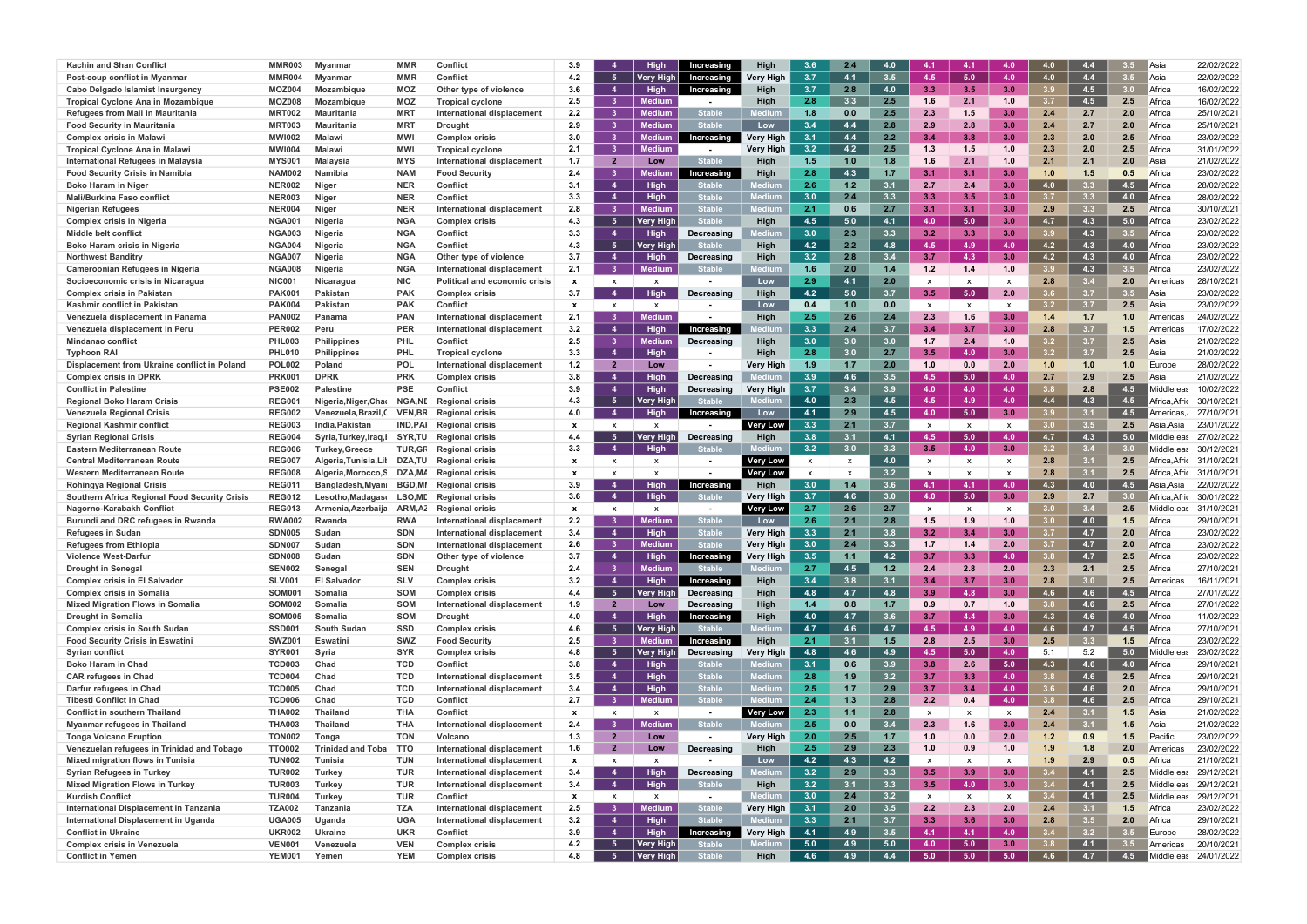| <b>Kachin and Shan Conflict</b>                      | MMR003                         | <b>Mvanmar</b>           | <b>MMR</b>               | <b>Conflict</b>                          | 3.9                       |                | High             | Increasing                  | High             | 3.6              | 2.4                       | 4.0 | -4.1                      | 4.1                       | 4.0              | 4.0              | 4.4            | 3.5 | Asia                     | 22/02/2022                          |
|------------------------------------------------------|--------------------------------|--------------------------|--------------------------|------------------------------------------|---------------------------|----------------|------------------|-----------------------------|------------------|------------------|---------------------------|-----|---------------------------|---------------------------|------------------|------------------|----------------|-----|--------------------------|-------------------------------------|
| Post-coup conflict in Myanmar                        | MMR004                         | Myanmar                  | <b>MMR</b>               | <b>Conflict</b>                          | 4.2                       | 5 <sub>1</sub> | Very High        | Increasing                  | Verv Hiah        | 3.7              | 4.1                       | 3.5 | 4.5                       | 5.0                       | 4.0              | 4.0              | 4.4            | 3.5 | Asia                     | 22/02/2022                          |
| Cabo Delgado Islamist Insurgency                     | <b>MOZ004</b>                  | Mozambique               | <b>MOZ</b>               | Other type of violence                   | 3.6                       | $\overline{4}$ | <b>High</b>      | Increasing                  | High             | 3.7              | 2.8                       | 4.0 | 3.3                       | 3.5                       | 3.0 <sub>1</sub> | 3.9              | 4.5            | 3.0 | Africa                   | 16/02/2022                          |
| Tropical Cyclone Ana in Mozambique                   | <b>MOZ008</b>                  | Mozambique               | <b>MOZ</b>               | <b>Tropical cyclone</b>                  | 2.5                       | 3 <sup>1</sup> | Medium           |                             | High             | 2.8              | 3.3                       | 2.5 | 1.6                       | 2.1                       | 1.0              | 3.7              | 4.5            | 2.5 | Africa                   | 16/02/2022                          |
| <b>Refugees from Mali in Mauritania</b>              | MRT002                         | Mauritania               | <b>MRT</b>               | International displacement               | 2.2                       | 3 <sup>1</sup> | Mediur           | <b>Stable</b>               |                  | 1.8              | 0.0                       | 2.5 | 2.3                       |                           | 3.0 <sub>1</sub> | 2.4              | 2.7            | 2.0 | Africa                   | 25/10/2021                          |
| <b>Food Security in Mauritania</b>                   | MRT003                         | Mauritania               | <b>MRT</b>               | <b>Drought</b>                           | 2.9                       | -3             | Mediun           | <b>Stable</b>               | Low              | 3.4              | 4.4                       | 2.8 | 2.9                       | 2 <sup>8</sup>            | 3.0 <sub>1</sub> |                  | 2.7            | 2.0 | Africa                   | 25/10/2021                          |
| <b>Complex crisis in Malawi</b>                      | <b>MWI002</b>                  | Malawi                   | <b>MWI</b>               | <b>Complex crisis</b>                    | 3.0                       | -3             | ∧edium           | Increasing                  | Verv Hiah        | 3.1              | 4.4                       | 2.2 | -3.4                      |                           |                  |                  | 2.0            | 2.5 | Africa                   | 23/02/2022                          |
|                                                      |                                |                          |                          |                                          |                           | 3 <sup>1</sup> | Medium           |                             |                  | 3.2              | 4.2                       | 2.5 |                           | 1.5                       | 1.0              | 2.3              | 2.0            | 2.5 |                          |                                     |
| <b>Tropical Cyclone Ana in Malaw</b>                 | <b>MWI004</b>                  | Malawi                   | <b>MWI</b><br><b>MYS</b> | <b>Tropical cyclone</b>                  | 2.1                       | $\overline{2}$ |                  | <b>Stable</b>               | Very High        |                  | 1.0                       | 1.8 | 1.3<br>1.6                | 2.1                       |                  | 2.1              | 2.1            | 2.0 | Africa                   | 31/01/2022<br>21/02/2022            |
| International Refugees in Malaysia                   | <b>MYS001</b>                  | Malavsia                 |                          | International displacement               | 1.7                       |                | Low              |                             | High             | 1.5              |                           |     |                           |                           | 1.0              |                  |                |     | Asia                     |                                     |
| <b>Food Security Crisis in Namibia</b>               | <b>NAM002</b>                  | Namibia                  | <b>NAM</b>               | <b>Food Security</b>                     | 2.4                       | -3             | lediur           | Increasinc                  |                  | 2.8<br>2.6       | 4.3<br>1.2                | 1.7 | 3.1                       | 3.1                       | 3.0 <sub>1</sub> | 1.0              | 1.5            | 0.5 | Africa                   | 23/02/2022                          |
| <b>Boko Haram in Niger</b>                           | <b>NER002</b>                  | Niger                    | <b>NER</b>               | <b>Conflict</b>                          | 3.1                       | $\overline{4}$ | <b>High</b>      | Stable                      |                  |                  |                           | 3.1 | 2.7                       | 2.4                       | 3.0 <sub>1</sub> | 4.0              | 3.3            | 4.5 | Africa                   | 28/02/2022                          |
| <b>Mali/Burkina Faso conflict</b>                    | <b>NER003</b>                  | Niger                    | <b>NER</b>               | <b>Conflict</b>                          | 3.3                       | -4             | <b>High</b>      | Stable                      |                  | 3.0              | 2.4                       | 3.3 | 3.3                       | -3.5                      | 3.0 <sub>1</sub> | 37               | 3 <sub>3</sub> | 4.0 | Africa                   | 28/02/2022                          |
| <b>Nigerian Refugees</b>                             | <b>NER004</b>                  | Niger                    | <b>NEF</b>               | International displacement               | 2.8                       | 3 <sup>1</sup> | Mediur           | <b>Stable</b>               |                  | 2.1              | 0.6                       | 2.7 | 3.1                       | 3.1                       | 3.0 <sub>1</sub> | 2.9              | 3.3            | 2.5 | Africa                   | 30/10/2021                          |
| <b>Complex crisis in Nigeria</b>                     | NGA001                         | Nigeria                  | <b>NGA</b>               | <b>Complex crisis</b>                    | 4.3                       | - 5            | <b>Very High</b> | <b>Stable</b>               | High             | 4.5              | 5.0                       | 4.1 | 4.0                       | 5.0                       | 3.0 <sub>1</sub> | 4.7              | 4.3            | 5.0 | Africa                   | 23/02/2022                          |
| Middle belt conflict                                 | <b>NGA003</b>                  | Nigeria                  | <b>NGA</b>               | <b>Conflict</b>                          | 3.3                       | -4             | <b>High</b>      | Decreasing                  |                  | 3.0              | 2.3                       | 3.3 | 3.2                       | 3.3                       | 3.0 <sub>1</sub> | 3 g              | 4.3            | 3.5 | Africa                   | 23/02/2022                          |
| Boko Haram crisis in Nigeria                         | <b>NGA004</b>                  | Nigeria                  | <b>NGA</b>               | <b>Conflict</b>                          | 4.3                       | 5 <sub>1</sub> | Very Higl        | <b>Stable</b>               | High             | 4.2              | 2.2                       | 4.8 | 4.5                       | 4.9                       | 4.0              | 4.2              | 4.3            | 4.0 | Africa                   | 23/02/2022                          |
| <b>Northwest Banditry</b>                            | <b>NGA007</b>                  | Nigeria                  | <b>NGA</b>               | Other type of violence                   | 3.7                       | 4              | <b>High</b>      | Decreasing                  | High             | 3.2              | 2.8                       | 3.4 | 3.7                       | 4.3                       | 3.0 <sub>1</sub> | 4.2 <sub>2</sub> | 4.3            | 4.0 | Africa                   | 23/02/2022                          |
| Cameroonian Refugees in Nigeria                      | <b>NGA008</b>                  | Nigeria                  | <b>NGA</b>               | International displacement               | 2.1                       | -3             | Mediun           | <b>Stable</b>               |                  | 1.6              | 2.0                       | 1.4 | 1.2                       | 1.4                       | 1.0              | 3 g              | 4.3            | 3.5 | Africa                   | 23/02/2022                          |
| Socioeconomic crisis in Nicaragua                    | NIC00                          | Nicaragua                | <b>NIC</b>               | Political and economic crisis            | $\mathbf{x}$              |                |                  |                             | Low              | 2.9              | 4.1                       | 2.0 | x                         |                           | X                | 2.8              | 3.4            | 2.0 | America                  | 28/10/2021                          |
| <b>Complex crisis in Pakistan</b>                    | PAK00                          | Pakistan                 | <b>PAK</b>               | <b>Complex crisis</b>                    | 3.7                       |                | <b>High</b>      | Decreasing                  | High             | 4.2              | 5.0                       | 3.7 | $3.5^{\circ}$             | 5.0                       | 2.0              | 3.6              | 3.7            | 3.5 | Asia                     | 23/02/2022                          |
| Kashmir conflict in Pakistan                         | <b>PAK004</b>                  | Pakistan                 | <b>PAK</b>               | <b>Conflict</b>                          | $\boldsymbol{\mathsf{x}}$ |                | X                | $\blacksquare$              | Low              | 0.4              | 1.0                       | 0.0 | $\boldsymbol{\mathsf{x}}$ | $\boldsymbol{\mathsf{x}}$ |                  | 3.2 <sub>1</sub> | 3.7            | 2.5 | Asia                     | 23/02/2022                          |
| Venezuela displacement in Panama                     | <b>PAN002</b>                  | Panama                   | <b>PAN</b>               | International displacement               | 2.1                       |                | Medium           |                             | High             | 2.5              | 2.6                       | 2.4 | 2.3                       | 1.6                       | 3.0 <sub>1</sub> | 1.4              | 1.7            | 1.0 | America                  | 24/02/2022                          |
| Venezuela displacement in Peru                       | <b>PER002</b>                  | Peru                     | <b>PER</b>               | International displacement               | 3.2                       | 4              | <b>High</b>      | Increasing                  |                  | 3.3              |                           | 3.7 | 3.4                       | -3.7                      | 3.0 <sub>1</sub> | 2.8              | 3.7            |     | America                  | 17/02/2022                          |
| Mindanao conflict                                    | <b>PHL003</b>                  | <b>Philippines</b>       | <b>PHL</b>               | Conflict                                 | 2.5                       | -3.            | ∕ledium          | Decreasing                  | High             | 3.0              | 3.0                       | 3.0 | 1.7                       | 2.4                       | 1.0              | $3.2\,$          | 3.7            | 2.5 | Asia                     | 21/02/2022                          |
| <b>Typhoon RAI</b>                                   | PHL <sub>01</sub>              | <b>Philippines</b>       | <b>PHL</b>               | <b>Tropical cyclone</b>                  | 3.3                       | $\overline{4}$ | <b>High</b>      | $\overline{\phantom{a}}$    | High             | 2.8              | 3.0                       | 2.7 | $3.5^{\circ}$             | 4.0                       | 3.0 <sub>1</sub> | 3.2              | 3.7            | 2.5 | Asia                     | 21/02/2022                          |
| Displacement from Ukraine conflict in Poland         | <b>POL002</b>                  | Poland                   | <b>POL</b>               | <b>International displacement</b>        | $1.2$                     | $\overline{2}$ | Low              | $\overline{\phantom{a}}$    | Very High        | 1.9 <sub>1</sub> | 1.7                       | 2.0 | 1.0                       | 0.0                       | 2.0              | 1.0              | 1.0            | 1.0 | Europe                   | 28/02/2022                          |
| <b>Complex crisis in DPRK</b>                        | <b>PRK00</b>                   | <b>DPRK</b>              | <b>PRK</b>               | <b>Complex crisis</b>                    | 3.8                       | $\overline{4}$ | <b>High</b>      | Decreasing                  |                  | 3.9              | 4.6                       | 3.5 | 4.5                       | 5.0                       | 4.0              | 2.7              | 2.9            | 2.5 | Asia                     | 21/02/2022                          |
| <b>Conflict in Palestine</b>                         | <b>PSE002</b>                  | Palestine                | <b>PSE</b>               | <b>Conflict</b>                          | 3.9                       | -4             | <b>High</b>      | Decreasing                  | <b>Very High</b> | 3.7              | 3.4                       | 3.9 | 4.0                       | 4.0                       | 4.0              |                  | 2.8            | 4.5 | liddle eas               | 10/02/2022                          |
| <b>Regional Boko Haram Crisis</b>                    | <b>REG001</b>                  | Nigeria, Niger, Chao     | <b>NGA,NE</b>            | <b>Regional crisis</b>                   | 4.3                       | - 5            | <b>Very High</b> | Stable                      |                  | 4.0              | 2.3                       | 4.5 | 4.5                       | 4.9                       | 4.0              | 4.4              | 4.3            | 4.5 | frica.Afrio              | 30/10/2021                          |
| Venezuela Regional Crisis                            | <b>REG002</b>                  | Venezuela,Brazil,C       | <b>VEN,BR</b>            | <b>Regional crisis</b>                   | 4.0                       | -4             | Hiah             | ncreasing                   | Low              | 4.1              | 2.9                       | 4.5 | 4.0                       | $-5.0$                    | 3.0              |                  | 3.1            | 4.5 | ،mericas                 | 27/10/2021                          |
| <b>Regional Kashmir conflict</b>                     | <b>REG003</b>                  | India.Pakistan           | <b>IND, PAI</b>          | <b>Regional crisis</b>                   | $\boldsymbol{\mathsf{x}}$ |                |                  |                             | Very Low         | 3.3              | 2.1                       | 3.7 | $\mathbf{x}$              | X                         | X                | 3.0              | 3.5            | 2.5 | Asia Asia                | 23/01/2022                          |
| <b>Syrian Regional Crisis</b>                        | <b>REG004</b>                  | Syria, Turkey, Iraq, I   | <b>SYR.TU</b>            | <b>Regional crisis</b>                   | 4.4                       | -5             | Very High        | Decreasing                  | High             | 3.8              | 3.1                       | 4.1 | 4.5                       | - 5.0                     | 4.0              | 4.7              | 4.3            | 5.0 | liddle eas               | 27/02/2022                          |
| Eastern Mediterranean Route                          | <b>REG006</b>                  | <b>Turkey, Greece</b>    | <b>TUR,GF</b>            | <b>Regional crisis</b>                   | 3.3                       | 4              | <b>High</b>      | <b>Stable</b>               |                  | 3.2              | 3.0                       | 3.3 | 3.5                       | 4.0                       | 3.0              | 3.2              | 3.4            | 3.0 | <i>l</i> liddle eas      | 30/12/2021                          |
| <b>Central Mediterranean Route</b>                   | <b>REG007</b>                  | Algeria, Tunisia, Lil    | DZA,TU                   | <b>Regional crisis</b>                   | $\mathbf{x}$              |                |                  |                             | <b>Very Low</b>  | X                |                           | 4.0 |                           |                           | X                | 2.8              | 3.1            | 2.5 | Africa, Afric 31/10/2021 |                                     |
| Western Mediterranean Route                          | <b>REG008</b>                  | Algeria, Morocco, S      | DZA,MA                   | <b>Regional crisis</b>                   | $\boldsymbol{\mathsf{x}}$ |                |                  |                             | <b>Very Low</b>  | $\mathbf{x}$     | $\boldsymbol{\mathsf{x}}$ | 3.2 |                           |                           |                  | 2.8              | 3.1            | 2.5 | Africa.Afrio             | 31/10/2021                          |
| <b>Rohingya Regional Crisis</b>                      | <b>REG011</b>                  | Bangladesh, Myan         | <b>BGD.MI</b>            | <b>Regional crisis</b>                   | 3.9                       | $\mathbf{A}$   | Hiah             | Increasing                  | High             | 3.0              | 1.4                       | 3.6 | 4.1                       | $-4.1$                    | 4.0              | 4.3              | 4.0            | 4.5 | Asia.Asia                | 22/02/2022                          |
| <b>Southern Africa Regional Food Security Crisis</b> | <b>REG012</b>                  | Lesotho, Madagas         | LSO, MD                  | <b>Regional crisis</b>                   | 3.6                       | -4             | Hiah             | <b>Stable</b>               | Very High        | 3.7              | 4.6                       | 3.0 | 4.0                       | 5.0                       | 3.0 <sub>1</sub> | 2.9              | 2.7            | 3.0 | Africa.Afrio             | 30/01/2022                          |
| Nagorno-Karabakh Conflict                            | <b>REG013</b>                  | Armenia, Azerbaija       | ARM,A2                   | <b>Regional crisis</b>                   | $\boldsymbol{\mathsf{x}}$ | $\mathbf{x}$   | X                |                             | Very Low         | 2.7              | 2.6                       | 2.7 | x                         |                           | X                | 3.0              | 3.4            | 2.5 | Middle eas               | 31/10/2021                          |
| Burundi and DRC refugees in Rwanda                   | <b>RWA002</b>                  | Rwanda                   | <b>RWA</b>               | International displacemen                | 2.2                       |                | Medium           | <b>Stable</b>               | Low              | 2.6              | 2.1                       | 2.8 | 1.5                       |                           | 1.0              | 3.0              | 4.0            | 1.5 | Africa                   | 29/10/2021                          |
| <b>Refugees in Sudan</b>                             | <b>SDN005</b>                  | Sudan                    | <b>SDN</b>               | International displacement               | 3.4                       |                | <b>High</b>      | Stable                      | <b>Very High</b> | 3.3              | 2.1                       | 3.8 | 3.2                       | 3.4                       | 3.0 <sub>1</sub> |                  | 4.7            | 2.0 | Africa                   | 23/02/2022                          |
| <b>Refugees from Ethiopia</b>                        | <b>SDN007</b>                  | Sudan                    | <b>SDN</b>               | International displacement               | 2.6                       | -3             | Medium           | <b>Stable</b>               | Verv Hiah        | 3.0              | 2.4                       | 3.3 | 1.7                       | 1.4                       | 2.0              | 37               | 4.7            | 2.0 | Africa                   | 23/02/2022                          |
| <b>Violence West-Darfur</b>                          | <b>SDN008</b>                  | Sudan                    | <b>SDN</b>               |                                          | 3.7                       |                |                  |                             | Very High        | 3.5              |                           | 4.2 | 3.7                       | 3.3                       | 4.0              | 3.8 <sub>2</sub> | 4.7            | 2.5 | Africa                   | 23/02/2022                          |
|                                                      | <b>SEN002</b>                  |                          | <b>SEN</b>               | Other type of violence<br><b>Drought</b> |                           | -4             | <b>High</b>      | Increasing<br><b>Stable</b> |                  | 2.7              | 1.1                       |     |                           | 2.8                       |                  |                  |                |     |                          | 27/10/2021                          |
| <b>Drought in Senegal</b>                            |                                | Senegal                  |                          |                                          | 2.4                       | 3 <sup>1</sup> | <b>Medium</b>    |                             |                  |                  | 4.5                       | 1.2 | 2.4                       |                           | 2.0              | 2.3<br>2.8       | 2.1            | 2.5 | Africa                   | 16/11/2021                          |
| <b>Complex crisis in El Salvador</b>                 | <b>SLV001</b>                  | <b>El Salvador</b>       | <b>SLV</b>               | <b>Complex crisis</b>                    | 3.2                       | $\overline{4}$ | <b>High</b>      | Increasing                  | High             | 3.4              | 3.8                       | 3.1 | 3.4                       | 3.7                       | 3.0 <sub>1</sub> |                  | 3.0            | 2.5 | America                  |                                     |
| <b>Complex crisis in Somalia</b>                     | <b>SOM001</b>                  | Somalia                  | <b>SOM</b>               | <b>Complex crisis</b>                    | 4.4                       | 5 <sub>1</sub> | <b>Very High</b> | Decreasing                  | High             | 4.8              | 4.7                       | 4.8 | 3.9                       | 4.8                       | 3.0 <sub>1</sub> | 4.6              | 4.6            | 4.5 | Africa                   | 27/01/2022                          |
| <b>Mixed Migration Flows in Somalia</b>              | <b>SOM002</b>                  | Somalia                  | <b>SOM</b>               | International displacement               | 1.9                       | $\overline{2}$ | Low              | Decreasing                  | High             | 1.4              | 0.8                       | 1.7 | 0.9                       | 0.7                       | 1.0              | 3.8              | 4.6            | 2.5 | Africa                   | 27/01/2022                          |
| <b>Drought in Somalia</b>                            | <b>SOM005</b>                  | Somalia                  | <b>SOM</b>               | <b>Drought</b>                           | 4.0                       | $\overline{4}$ | <b>High</b>      | Increasing                  | High             | 4.0              | 4.7                       | 3.6 | 3.7                       | 4.4                       | 3.0              | 4.3              | 4.6            | 4.0 | <b>I</b> Africa          | 11/02/2022                          |
| <b>Complex crisis in South Sudan</b>                 | <b>SSD001</b>                  | <b>South Sudan</b>       | <b>SSD</b>               | <b>Complex crisis</b>                    | 4.6                       | 5 <sub>1</sub> | <b>Very High</b> | <b>Stable</b>               |                  | 4.7              | 4.6                       | 4.7 | 4.5                       | 4.9                       | 4.0              | 4.6              | 4.7            | 4.5 | Africa                   | 27/10/2021                          |
| <b>Food Security Crisis in Eswatini</b>              | SWZ00                          | Eswatini                 | <b>SWZ</b>               | <b>Food Security</b>                     | 2.5                       | -3.            | <b>Medium</b>    | Increasing                  | High             | 2.1              | 3.1                       | 1.5 | 2.8                       | 2.5                       | 3.0              | 2.5              | 3.3            | 1.5 | Africa                   | 23/02/2022                          |
| <b>Syrian conflict</b>                               | <b>SYR001</b>                  | Syria                    | <b>SYR</b>               | <b>Complex crisis</b>                    | 4.8                       | - 5            | <b>Very High</b> | Decreasing                  | Very High        | 4.8              | 4.6                       | 4.9 | 4.5                       | 5.0                       | 4.0              | 5.1              | 5.2            | 5.0 | Middle eas               | 23/02/2022                          |
| <b>Boko Haram in Chad</b>                            | <b>TCD003</b>                  | Chad                     | TCD                      | <b>Conflict</b>                          | 3.8                       | -4             | <b>High</b>      | Stable                      |                  | 3.1              | 0.6                       | 3.9 | 3.8                       | 2.6                       | 5.0              | 4.3              | 4.6            | 4.0 | Africa                   | 29/10/2021                          |
| <b>CAR refugees in Chad</b>                          | <b>TCD004</b>                  | Chad                     | <b>TCD</b>               | International displacement               | 3.5                       | $\overline{4}$ | <b>High</b>      | Stable                      |                  | 2.8              | 1.9                       | 3.2 | 3.7                       | 3.3                       | 4.0              | 3.8              | 4.6            | 2.5 | Africa                   | 29/10/2021                          |
| Darfur refugees in Chad                              | <b>TCD005</b>                  | Chad                     | <b>TCD</b>               | International displacement               | 3.4                       | -4             | High             | <b>Stable</b>               |                  | 2.5              | 1.7                       | 2.9 | 3.7                       | 3.4                       | 4.0              | 3.6              | 4.6            | 2.0 | Africa                   | 29/10/2021                          |
| <b>Tibesti Conflict in Chad</b>                      | <b>TCD006</b>                  | Chad                     | <b>TCD</b>               | <b>Conflict</b>                          | 2.7                       | -3-            | <b>Medium</b>    | <b>Stable</b>               | Mediun           | 2.4              | 1.3                       | 2.8 | 2.2                       | 0.4                       | 4.0              | 3.8              | 4.6            | 2.5 | Africa                   | 29/10/2021                          |
| <b>Conflict in southern Thailand</b>                 | <b>THA002</b>                  | <b>Thailand</b>          | <b>THA</b>               | Conflict                                 | $\mathbf{x}$              | $\mathsf{x}$   | $\mathsf{x}$     | $\blacksquare$              | Very Low         | 2.3              | 1.1                       | 2.8 | x                         | x                         | X                | 2.4              | 3.1            | 1.5 | Asia                     | 21/02/2022                          |
| Myanmar refugees in Thailand                         | <b>THA003</b>                  | <b>Thailand</b>          | <b>THA</b>               | <b>International displacement</b>        | 2.4                       |                | <b>Medium</b>    | <b>Stable</b>               |                  | 2.5              | 0.0                       | 3.4 | 2.3                       | 1.6                       | 3.0 <sub>1</sub> | 2.4              | 3.1            | 1.5 | Asia                     | 21/02/2022                          |
| <b>Tonga Volcano Eruption</b>                        | <b>TON002</b>                  | Tonga                    | <b>TON</b>               | Volcano                                  | 1.3                       | $\overline{2}$ | Low              | $\overline{\phantom{a}}$    | Very High        | 2.0              | 2.5                       | 1.7 | 1.0                       | 0.0                       | 2.0              | 1.2              | 0.9            | 1.5 | Pacific                  | 23/02/2022                          |
| Venezuelan refugees in Trinidad and Tobago           | <b>TTO002</b>                  | <b>Trinidad and Toba</b> | <b>TTO</b>               | International displacement               | 1.6                       | $\overline{2}$ | Low              | Decreasing                  | High             | 2.5              | 2.9                       | 2.3 | 1.0                       | 0.9                       | 1.0              | 1.9              | 1.8            | 2.0 | America                  | 23/02/2022                          |
| Mixed migration flows in Tunisia                     | <b>TUN002</b>                  | Tunisia                  | <b>TUN</b>               | International displacement               | $\mathbf{x}$              | $\mathbf{x}$   | $\mathbf{x}$     | $\overline{\phantom{a}}$    | Low              | 4.2              | 4.3                       | 4.2 | X                         | x                         |                  | 1.9              | 2.9            | 0.5 | Africa                   | 21/10/2021                          |
| <b>Syrian Refugees in Turkey</b>                     | <b>TUR002</b>                  | Turkey                   | <b>TUR</b>               | International displacement               | 3.4                       | -4             | <b>High</b>      | Decreasing                  | ediun            | 3.2              | 2.9                       | 3.3 | $3.5^{\circ}$             | 3.9                       | 3.0 <sub>1</sub> | 3.4              | 4.1            | 2.5 | Middle eas               | 29/12/2021                          |
| <b>Mixed Migration Flows in Turkey</b>               | <b>TUR003</b>                  | Turkey                   | TUR                      | International displacement               | 3.4                       | $\sim$ 4       | <b>High</b>      | <b>Stable</b>               | High             | 3.2              | 3.1                       | 3.3 | 3.5                       | 4.0                       | 3.0              | 3.4              | 4.1            | 2.5 | Middle eas               | 29/12/2021                          |
| <b>Kurdish Conflict</b>                              | <b>TUR004</b>                  | Turkey                   | <b>TUR</b>               | <b>Conflict</b>                          | $\mathbf{x}$              | $\mathsf{x}$   | X                | $\blacksquare$              |                  | 3.0              | 2.4                       | 3.2 | x                         | $\mathsf{x}$              | $\mathsf{X}$     | 3.4              | 4.1            | 2.5 | Middle eas               | 29/12/2021                          |
| International Displacement in Tanzania               | <b>TZA002</b>                  | Tanzania                 | <b>TZA</b>               | <b>International displacement</b>        | 2.5                       | -3             | Medium           | <b>Stable</b>               | <b>Very High</b> | 3.1              | 2.0                       | 3.5 | 2.2                       | 2.3                       | 2.0              | 2.4              | 3.1            | 1.5 | Africa                   | 23/02/2022                          |
| International Displacement in Uganda                 | <b>UGA005</b>                  | Uganda                   | <b>UGA</b>               | International displacement               | 3.2                       | $\overline{4}$ | <b>High</b>      | <b>Stable</b>               |                  | 3.3              | 2.1                       | 3.7 | 3.3                       | 3.6                       | 3.0              | 2.8              | 3.5            | 2.0 | Africa                   | 29/10/2021                          |
| <b>Conflict in Ukraine</b>                           | <b>UKR002</b>                  | Ukraine                  | <b>UKR</b>               | <b>Conflict</b>                          | 3.9                       | $\overline{4}$ | <b>High</b>      | Increasing                  | Very High        | 4.1              | 4.9                       | 3.5 | 4.1                       | $-4.1$                    | 4.0              | 3.4              | 3.2            | 3.5 | Europe                   | 28/02/2022                          |
|                                                      |                                |                          |                          |                                          |                           |                |                  |                             |                  |                  |                           |     |                           |                           |                  |                  |                |     |                          |                                     |
| <b>Complex crisis in Venezuela</b>                   | <b>VEN001</b><br><b>YEM001</b> | Venezuela                | <b>VEN</b><br><b>YEM</b> | <b>Complex crisis</b>                    | 4.2                       | 5 <sub>1</sub> | Very High        | <b>Stable</b>               | High             | 5.0              | 4.9                       | 5.0 | 4.0<br>5.0                | 5.0                       | 3.0<br>5.0       | 3.8<br>4.6       | 4.1<br>4.7     | 3.5 | Americas                 | 20/10/2021<br>Middle eas 24/01/2022 |